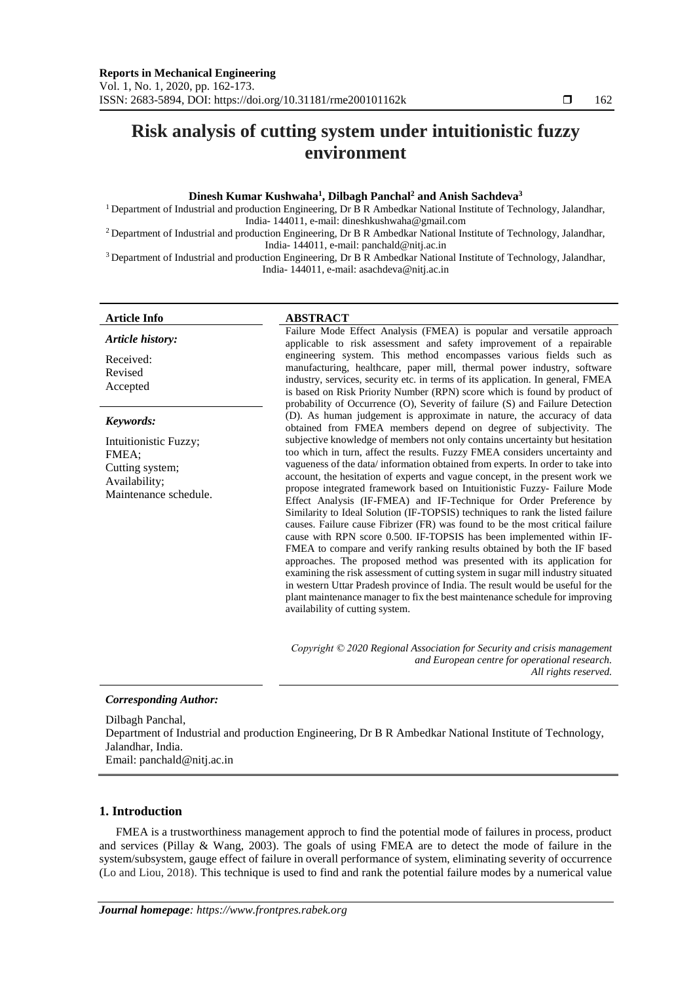# **Risk analysis of cutting system under intuitionistic fuzzy environment**

# **Dinesh Kumar Kushwaha<sup>1</sup> , Dilbagh Panchal<sup>2</sup> and Anish Sachdeva<sup>3</sup>**

<sup>1</sup> Department of Industrial and production Engineering, Dr B R Ambedkar National Institute of Technology, Jalandhar, India- 144011, e-mail: dineshkushwaha@gmail.com

<sup>2</sup> Department of Industrial and production Engineering, Dr B R Ambedkar National Institute of Technology, Jalandhar, India- 144011, e-mail: panchald@nitj.ac.in

<sup>3</sup> Department of Industrial and production Engineering, Dr B R Ambedkar National Institute of Technology, Jalandhar, India- 144011, e-mail: [asachdeva@nitj.ac.in](mailto:asachdeva@nitj.ac.in)

# **Article Info ABSTRACT**

Received: Revised Accepted

*Keywords:*

FMEA;

Intuitionistic Fuzzy;

Maintenance schedule.

Cutting system; Availability;

*Article history:*

Failure Mode Effect Analysis (FMEA) is popular and versatile approach applicable to risk assessment and safety improvement of a repairable engineering system. This method encompasses various fields such as manufacturing, healthcare, paper mill, thermal power industry, software industry, services, security etc. in terms of its application. In general, FMEA is based on Risk Priority Number (RPN) score which is found by product of probability of Occurrence (O), Severity of failure (S) and Failure Detection (D). As human judgement is approximate in nature, the accuracy of data obtained from FMEA members depend on degree of subjectivity. The subjective knowledge of members not only contains uncertainty but hesitation too which in turn, affect the results. Fuzzy FMEA considers uncertainty and vagueness of the data/ information obtained from experts. In order to take into account, the hesitation of experts and vague concept, in the present work we propose integrated framework based on Intuitionistic Fuzzy- Failure Mode Effect Analysis (IF-FMEA) and IF-Technique for Order Preference by Similarity to Ideal Solution (IF-TOPSIS) techniques to rank the listed failure causes. Failure cause Fibrizer (FR) was found to be the most critical failure cause with RPN score 0.500. IF-TOPSIS has been implemented within IF-FMEA to compare and verify ranking results obtained by both the IF based approaches. The proposed method was presented with its application for examining the risk assessment of cutting system in sugar mill industry situated in western Uttar Pradesh province of India. The result would be useful for the plant maintenance manager to fix the best maintenance schedule for improving availability of cutting system.

*Copyright © 2020 Regional Association for Security and crisis management and European centre for operational research. All rights reserved.*

# *Corresponding Author:*

Dilbagh Panchal, Department of Industrial and production Engineering, Dr B R Ambedkar National Institute of Technology, Jalandhar, India. Email: panchald@nitj.ac.in

# **1. Introduction**

FMEA is a trustworthiness management approch to find the potential mode of failures in process, product and services (Pillay & Wang, 2003). The goals of using FMEA are to detect the mode of failure in the system/subsystem, gauge effect of failure in overall performance of system, eliminating severity of occurrence (Lo and Liou, 2018). This technique is used to find and rank the potential failure modes by a numerical value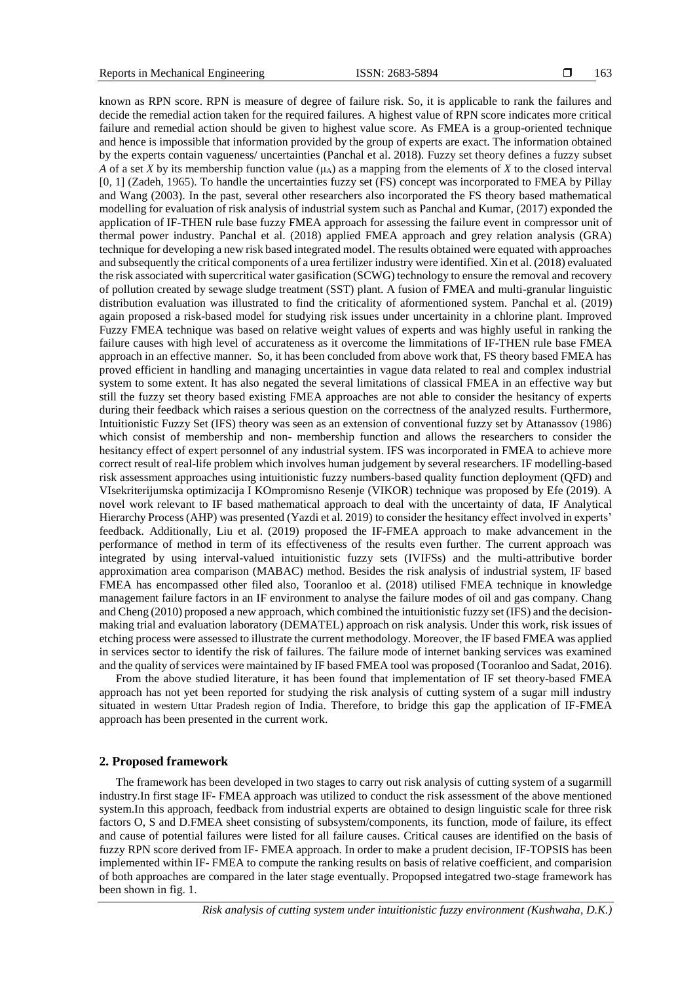known as RPN score. RPN is measure of degree of failure risk. So, it is applicable to rank the failures and decide the remedial action taken for the required failures. A highest value of RPN score indicates more critical failure and remedial action should be given to highest value score. As FMEA is a group-oriented technique and hence is impossible that information provided by the group of experts are exact. The information obtained by the experts contain vagueness/ uncertainties (Panchal et al. 2018). Fuzzy set theory defines a fuzzy subset *A* of a set *X* by its membership function value ( $\mu$ A) as a mapping from the elements of *X* to the closed interval [0*,* 1] (Zadeh, 1965). To handle the uncertainties fuzzy set (FS) concept was incorporated to FMEA by Pillay and Wang (2003). In the past, several other researchers also incorporated the FS theory based mathematical modelling for evaluation of risk analysis of industrial system such as Panchal and Kumar, (2017) exponded the application of IF-THEN rule base fuzzy FMEA approach for assessing the failure event in compressor unit of thermal power industry. Panchal et al. (2018) applied FMEA approach and grey relation analysis (GRA) technique for developing a new risk based integrated model. The results obtained were equated with approaches and subsequently the critical components of a urea fertilizer industry were identified. Xin et al. (2018) evaluated the risk associated with supercritical water gasification (SCWG) technology to ensure the removal and recovery of pollution created by sewage sludge treatment (SST) plant. A fusion of FMEA and multi-granular linguistic distribution evaluation was illustrated to find the criticality of aformentioned system. Panchal et al. (2019) again proposed a risk-based model for studying risk issues under uncertainity in a chlorine plant. Improved Fuzzy FMEA technique was based on relative weight values of experts and was highly useful in ranking the failure causes with high level of accurateness as it overcome the limmitations of IF-THEN rule base FMEA approach in an effective manner. So, it has been concluded from above work that, FS theory based FMEA has proved efficient in handling and managing uncertainties in vague data related to real and complex industrial system to some extent. It has also negated the several limitations of classical FMEA in an effective way but still the fuzzy set theory based existing FMEA approaches are not able to consider the hesitancy of experts during their feedback which raises a serious question on the correctness of the analyzed results. Furthermore, Intuitionistic Fuzzy Set (IFS) theory was seen as an extension of conventional fuzzy set by Attanassov (1986) which consist of membership and non- membership function and allows the researchers to consider the hesitancy effect of expert personnel of any industrial system. IFS was incorporated in FMEA to achieve more correct result of real-life problem which involves human judgement by several researchers. IF modelling-based risk assessment approaches using intuitionistic fuzzy numbers-based quality function deployment (QFD) and VIsekriterijumska optimizacija I KOmpromisno Resenje (VIKOR) technique was proposed by Efe (2019). A novel work relevant to IF based mathematical approach to deal with the uncertainty of data, IF Analytical Hierarchy Process (AHP) was presented (Yazdi et al. 2019) to consider the hesitancy effect involved in experts' feedback. Additionally, Liu et al. (2019) proposed the IF-FMEA approach to make advancement in the performance of method in term of its effectiveness of the results even further. The current approach was integrated by using interval-valued intuitionistic fuzzy sets (IVIFSs) and the multi-attributive border approximation area comparison (MABAC) method. Besides the risk analysis of industrial system, IF based FMEA has encompassed other filed also, Tooranloo et al. (2018) utilised FMEA technique in knowledge management failure factors in an IF environment to analyse the failure modes of oil and gas company. Chang and Cheng (2010) proposed a new approach, which combined the intuitionistic fuzzy set (IFS) and the decisionmaking trial and evaluation laboratory (DEMATEL) approach on risk analysis. Under this work, risk issues of etching process were assessed to illustrate the current methodology. Moreover, the IF based FMEA was applied in services sector to identify the risk of failures. The failure mode of internet banking services was examined and the quality of services were maintained by IF based FMEA tool was proposed (Tooranloo and Sadat, 2016).

From the above studied literature, it has been found that implementation of IF set theory-based FMEA approach has not yet been reported for studying the risk analysis of cutting system of a sugar mill industry situated in western Uttar Pradesh region of India. Therefore, to bridge this gap the application of IF-FMEA approach has been presented in the current work.

#### **2. Proposed framework**

The framework has been developed in two stages to carry out risk analysis of cutting system of a sugarmill industry.In first stage IF- FMEA approach was utilized to conduct the risk assessment of the above mentioned system.In this approach, feedback from industrial experts are obtained to design linguistic scale for three risk factors O, S and D.FMEA sheet consisting of subsystem/components, its function, mode of failure, its effect and cause of potential failures were listed for all failure causes. Critical causes are identified on the basis of fuzzy RPN score derived from IF- FMEA approach. In order to make a prudent decision, IF-TOPSIS has been implemented within IF- FMEA to compute the ranking results on basis of relative coefficient, and comparision of both approaches are compared in the later stage eventually. Propopsed integatred two-stage framework has been shown in fig. 1.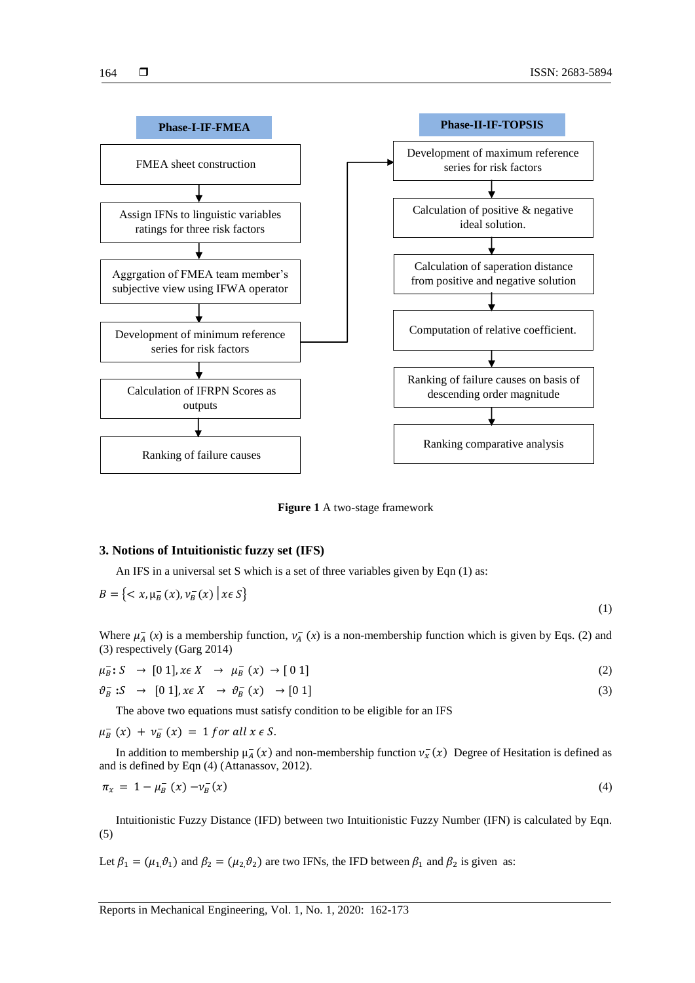

**Figure 1** A two-stage framework

# **3. Notions of Intuitionistic fuzzy set (IFS)**

An IFS in a universal set S which is a set of three variables given by Eqn (1) as:

$$
B = \left\{ \langle x, \mu_B^{-}(x), \nu_B^{-}(x) \mid x \in S \right\}
$$

(1)

Where  $\mu_A^-(x)$  is a membership function,  $\nu_A^-(x)$  is a non-membership function which is given by Eqs. (2) and (3) respectively (Garg 2014)

$$
\mu_{B}^{-}: S \rightarrow [0\ 1], x \in X \rightarrow \mu_{B}^{-}(x) \rightarrow [0\ 1]
$$
 (2)

$$
\vartheta_B^- \colon S \to [0 \ 1], \, x \in X \to \vartheta_B^-(x) \to [0 \ 1] \tag{3}
$$

The above two equations must satisfy condition to be eligible for an IFS

 $\mu_B^-(x) + \nu_B^-(x) = 1$  for all  $x \in S$ .

In addition to membership  $\mu_A^-(x)$  and non-membership function  $\nu_x^-(x)$  Degree of Hesitation is defined as and is defined by Eqn (4) (Attanassov, 2012).

$$
\pi_x = 1 - \mu_B^-(x) - \nu_B^-(x) \tag{4}
$$

Intuitionistic Fuzzy Distance (IFD) between two Intuitionistic Fuzzy Number (IFN) is calculated by Eqn. (5)

Let  $\beta_1 = (\mu_1, \vartheta_1)$  and  $\beta_2 = (\mu_2, \vartheta_2)$  are two IFNs, the IFD between  $\beta_1$  and  $\beta_2$  is given as: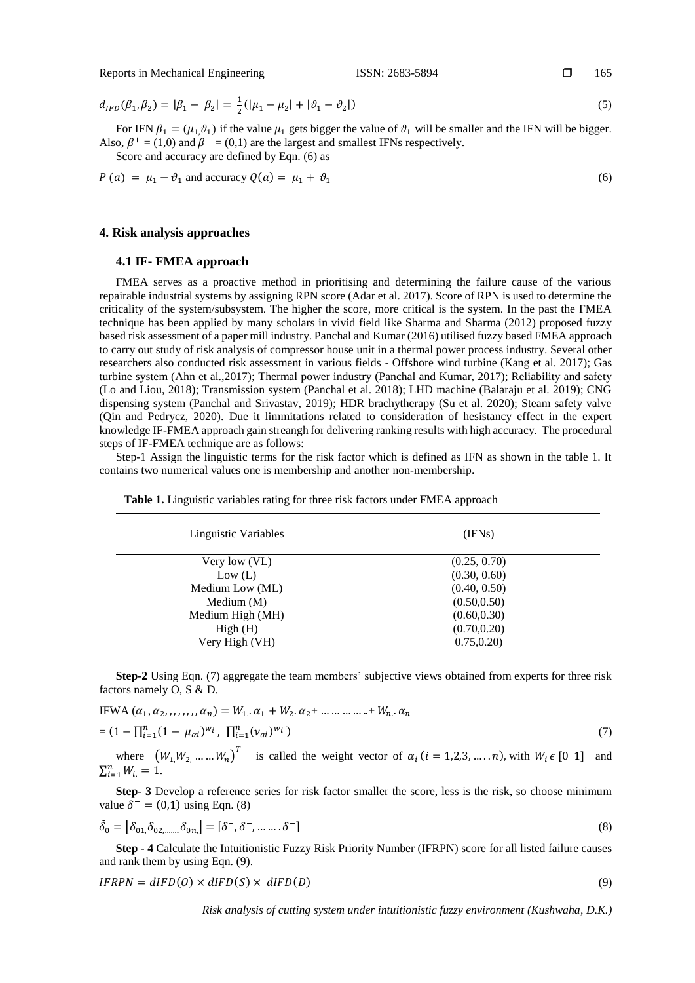$d_{IFD}(\beta_1, \beta_2) = |\beta_1 - \beta_2| = \frac{1}{2}$  $\frac{1}{2}(|\mu_1 - \mu_2| + |\vartheta_1 - \vartheta_2|)$  $|$ ) (5)

For IFN  $\beta_1 = (\mu_1, \vartheta_1)$  if the value  $\mu_1$  gets bigger the value of  $\vartheta_1$  will be smaller and the IFN will be bigger. Also,  $\beta^+ = (1,0)$  and  $\beta^- = (0,1)$  are the largest and smallest IFNs respectively.

Score and accuracy are defined by Eqn. (6) as

$$
P(a) = \mu_1 - \vartheta_1 \text{ and accuracy } Q(a) = \mu_1 + \vartheta_1 \tag{6}
$$

#### **4. Risk analysis approaches**

## **4.1 IF- FMEA approach**

FMEA serves as a proactive method in prioritising and determining the failure cause of the various repairable industrial systems by assigning RPN score (Adar et al. 2017). Score of RPN is used to determine the criticality of the system/subsystem. The higher the score, more critical is the system. In the past the FMEA technique has been applied by many scholars in vivid field like Sharma and Sharma (2012) proposed fuzzy based risk assessment of a paper mill industry. Panchal and Kumar (2016) utilised fuzzy based FMEA approach to carry out study of risk analysis of compressor house unit in a thermal power process industry. Several other researchers also conducted risk assessment in various fields - Offshore wind turbine (Kang et al. 2017); Gas turbine system (Ahn et al.,2017); Thermal power industry (Panchal and Kumar, 2017); Reliability and safety (Lo and Liou, 2018); Transmission system (Panchal et al. 2018); LHD machine (Balaraju et al. 2019); CNG dispensing system (Panchal and Srivastav, 2019); HDR brachytherapy (Su et al. 2020); Steam safety valve (Qin and Pedrycz, 2020). Due it limmitations related to consideration of hesistancy effect in the expert knowledge IF-FMEA approach gain streangh for delivering ranking results with high accuracy. The procedural steps of IF-FMEA technique are as follows:

Step-1 Assign the linguistic terms for the risk factor which is defined as IFN as shown in the table 1. It contains two numerical values one is membership and another non-membership.

| Linguistic Variables | (IFNs)       |
|----------------------|--------------|
| Very low (VL)        | (0.25, 0.70) |
| Low (L)              | (0.30, 0.60) |
| Medium Low (ML)      | (0.40, 0.50) |
| Medium $(M)$         | (0.50, 0.50) |
| Medium High (MH)     | (0.60, 0.30) |
| High(H)              | (0.70, 0.20) |
| Very High (VH)       | 0.75, 0.20   |

**Table 1.** Linguistic variables rating for three risk factors under FMEA approach

**Step-2** Using Eqn. (7) aggregate the team members' subjective views obtained from experts for three risk factors namely O, S & D.

IFWA 
$$
(\alpha_1, \alpha_2, ..., \alpha_n) = W_1 \cdot \alpha_1 + W_2 \cdot \alpha_2 + \dots + W_n \cdot \alpha_n
$$
  
=  $(1 - \prod_{i=1}^n (1 - \mu_{\alpha i})^{w_i}, \prod_{i=1}^n (\nu_{\alpha i})^{w_i})$  (7)

where  $(W_1, W_2, ..., W_n)$ <sup>T</sup> is called the weight vector of  $\alpha_i$  (*i* = 1,2,3, ... . *n*), with  $W_i \in [0 \ 1]$  and  $\sum_{i=1}^{n} W_{i} = 1.$ 

**Step- 3** Develop a reference series for risk factor smaller the score, less is the risk, so choose minimum value  $\delta^- = (0,1)$  using Eqn. (8)

$$
\tilde{\delta}_0 = [\delta_{01}, \delta_{02, \dots, \delta_{0n}}] = [\delta^-, \delta^-, \dots, \delta^-]
$$
\n(8)

**Step - 4** Calculate the Intuitionistic Fuzzy Risk Priority Number (IFRPN) score for all listed failure causes and rank them by using Eqn. (9).

$$
IFRPN = dIFD(0) \times dIFD(S) \times dIFD(D)
$$
\n(9)

165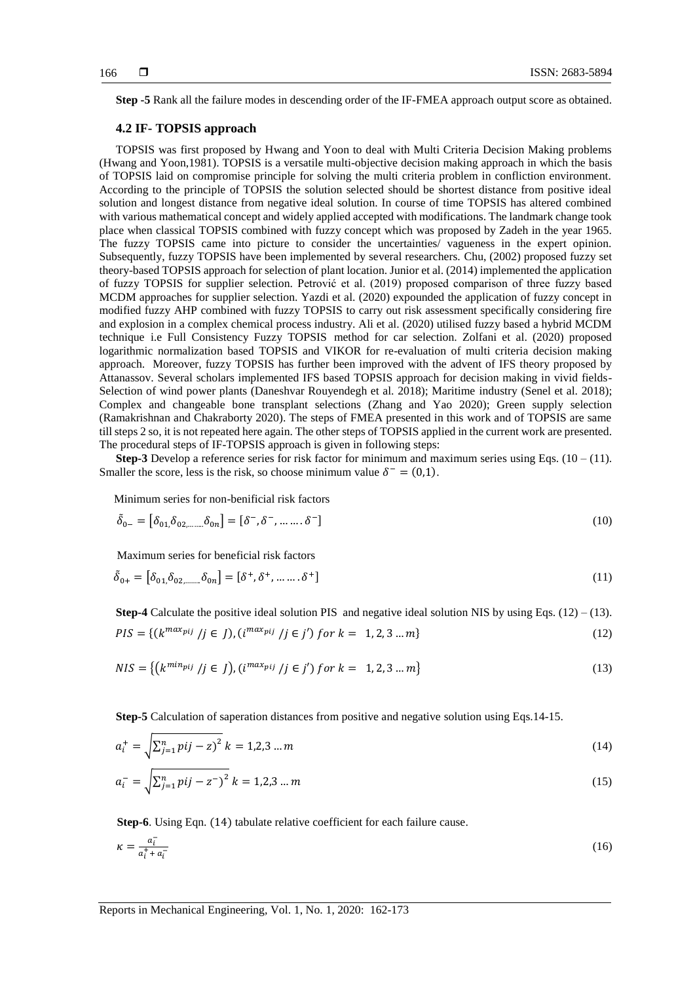**Step -5** Rank all the failure modes in descending order of the IF-FMEA approach output score as obtained.

# **4.2 IF- TOPSIS approach**

TOPSIS was first proposed by Hwang and Yoon to deal with Multi Criteria Decision Making problems (Hwang and Yoon,1981). TOPSIS is a versatile multi-objective decision making approach in which the basis of TOPSIS laid on compromise principle for solving the multi criteria problem in confliction environment. According to the principle of TOPSIS the solution selected should be shortest distance from positive ideal solution and longest distance from negative ideal solution. In course of time TOPSIS has altered combined with various mathematical concept and widely applied accepted with modifications. The landmark change took place when classical TOPSIS combined with fuzzy concept which was proposed by Zadeh in the year 1965. The fuzzy TOPSIS came into picture to consider the uncertainties/ vagueness in the expert opinion. Subsequently, fuzzy TOPSIS have been implemented by several researchers. Chu, (2002) proposed fuzzy set theory-based TOPSIS approach for selection of plant location. Junior et al. (2014) implemented the application of fuzzy TOPSIS for supplier selection. Petrović et al. (2019) proposed comparison of three fuzzy based MCDM approaches for supplier selection. Yazdi et al. (2020) expounded the application of fuzzy concept in modified fuzzy AHP combined with fuzzy TOPSIS to carry out risk assessment specifically considering fire and explosion in a complex chemical process industry. Ali et al. (2020) utilised fuzzy based a hybrid MCDM technique i.e Full Consistency Fuzzy TOPSIS method for car selection. Zolfani et al. (2020) proposed logarithmic normalization based TOPSIS and VIKOR for re-evaluation of multi criteria decision making approach. Moreover, fuzzy TOPSIS has further been improved with the advent of IFS theory proposed by Attanassov. Several scholars implemented IFS based TOPSIS approach for decision making in vivid fields-Selection of wind power plants (Daneshvar Rouyendegh et al. 2018); Maritime industry (Senel et al. 2018); Complex and changeable bone transplant selections (Zhang and Yao 2020); Green supply selection (Ramakrishnan and Chakraborty 2020). The steps of FMEA presented in this work and of TOPSIS are same till steps 2 so, it is not repeated here again. The other steps of TOPSIS applied in the current work are presented. The procedural steps of IF-TOPSIS approach is given in following steps:

**Step-3** Develop a reference series for risk factor for minimum and maximum series using Eqs.  $(10 - (11))$ . Smaller the score, less is the risk, so choose minimum value  $\delta^- = (0,1)$ .

Minimum series for non-benificial risk factors

$$
\tilde{\delta}_{0-} = [\delta_{01}, \delta_{02, \dots, \dots} \delta_{0n}] = [\delta^-, \delta^-, \dots \dots \delta^-]
$$
\n(10)

Maximum series for beneficial risk factors

$$
\tilde{\delta}_{0+} = [\delta_{01}\delta_{02,\dots} \delta_{0n}] = [\delta^+, \delta^+, \dots \dots \delta^+]
$$
\n(11)

**Step-4** Calculate the positive ideal solution PIS and negative ideal solution NIS by using Eqs.  $(12) - (13)$ .  $PIS = \{(k^{max_{pij}} | j \in J), (i^{max_{pij}} / j \in j') \}$  for  $k = 1, 2, 3 ... m\}$  (12)

$$
NIS = \{ (k^{min_{pij}} / j \in J), (i^{max_{pij}} / j \in j') \text{ for } k = 1, 2, 3 \dots m \}
$$
\n(13)

**Step-5** Calculation of saperation distances from positive and negative solution using Eqs.14-15.

$$
a_i^+ = \sqrt{\sum_{j=1}^n p^i (j - z)^2} \; k = 1, 2, 3 \dots m \tag{14}
$$

$$
a_i^- = \sqrt{\sum_{j=1}^n pij - z^-)^2} \; k = 1, 2, 3 \dots m \tag{15}
$$

**Step-6**. Using Eqn. (14) tabulate relative coefficient for each failure cause.

$$
\kappa = \frac{a_i^-}{a_i^+ + a_i^-} \tag{16}
$$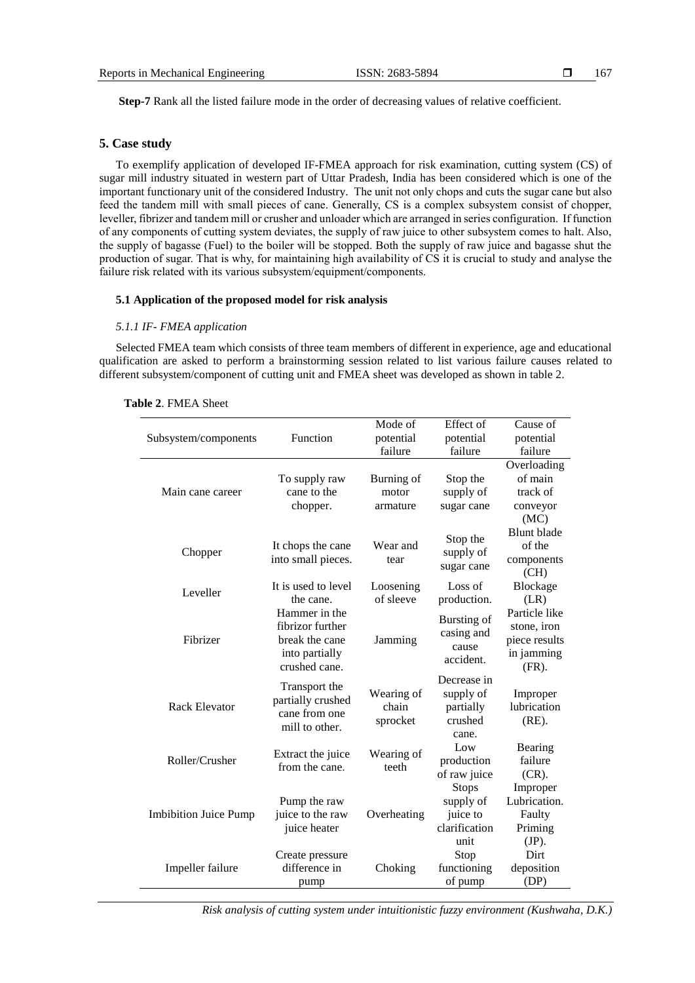**Step-7** Rank all the listed failure mode in the order of decreasing values of relative coefficient.

#### **5. Case study**

To exemplify application of developed IF-FMEA approach for risk examination, cutting system (CS) of sugar mill industry situated in western part of Uttar Pradesh, India has been considered which is one of the important functionary unit of the considered Industry. The unit not only chops and cuts the sugar cane but also feed the tandem mill with small pieces of cane. Generally, CS is a complex subsystem consist of chopper, leveller, fibrizer and tandem mill or crusher and unloader which are arranged in series configuration. If function of any components of cutting system deviates, the supply of raw juice to other subsystem comes to halt. Also, the supply of bagasse (Fuel) to the boiler will be stopped. Both the supply of raw juice and bagasse shut the production of sugar. That is why, for maintaining high availability of CS it is crucial to study and analyse the failure risk related with its various subsystem/equipment/components.

## **5.1 Application of the proposed model for risk analysis**

#### *5.1.1 IF- FMEA application*

Selected FMEA team which consists of three team members of different in experience, age and educational qualification are asked to perform a brainstorming session related to list various failure causes related to different subsystem/component of cutting unit and FMEA sheet was developed as shown in table 2.

|                              |                                                                                        | Mode of                         | Effect of                                                 | Cause of                                                                |
|------------------------------|----------------------------------------------------------------------------------------|---------------------------------|-----------------------------------------------------------|-------------------------------------------------------------------------|
| Subsystem/components         | Function                                                                               | potential                       | potential                                                 | potential                                                               |
|                              |                                                                                        | failure                         | failure                                                   | failure                                                                 |
|                              |                                                                                        |                                 |                                                           | Overloading                                                             |
|                              | To supply raw                                                                          | Burning of                      | Stop the                                                  | of main                                                                 |
| Main cane career             | cane to the                                                                            | motor                           | supply of                                                 | track of                                                                |
|                              | chopper.                                                                               | armature                        | sugar cane                                                | conveyor                                                                |
|                              |                                                                                        |                                 |                                                           | (MC)                                                                    |
| Chopper                      | It chops the cane<br>into small pieces.                                                | Wear and<br>tear                | Stop the<br>supply of<br>sugar cane                       | <b>Blunt</b> blade<br>of the<br>components<br>(CH)                      |
|                              | It is used to level                                                                    | Loosening                       | Loss of                                                   | <b>Blockage</b>                                                         |
| Leveller                     | the cane.                                                                              | of sleeve                       | production.                                               | (LR)                                                                    |
| Fibrizer                     | Hammer in the<br>fibrizor further<br>break the cane<br>into partially<br>crushed cane. | Jamming                         | Bursting of<br>casing and<br>cause<br>accident.           | Particle like<br>stone, iron<br>piece results<br>in jamming<br>$(FR)$ . |
| <b>Rack Elevator</b>         | Transport the<br>partially crushed<br>cane from one<br>mill to other.                  | Wearing of<br>chain<br>sprocket | Decrease in<br>supply of<br>partially<br>crushed<br>cane. | Improper<br>lubrication<br>$(RE)$ .                                     |
| Roller/Crusher               | Extract the juice<br>from the cane.                                                    | Wearing of<br>teeth             | Low<br>production<br>of raw juice<br><b>Stops</b>         | Bearing<br>failure<br>$(CR)$ .<br>Improper                              |
| <b>Imbibition Juice Pump</b> | Pump the raw<br>juice to the raw<br>juice heater                                       | Overheating                     | supply of<br>juice to<br>clarification<br>unit            | Lubrication.<br>Faulty<br>Priming<br>$(JP)$ .                           |
| Impeller failure             | Create pressure<br>difference in<br>pump                                               | Choking                         | Stop<br>functioning<br>of pump                            | Dirt<br>deposition<br>(DP)                                              |

#### **Table 2**. FMEA Sheet

*Risk analysis of cutting system under intuitionistic fuzzy environment (Kushwaha, D.K.)*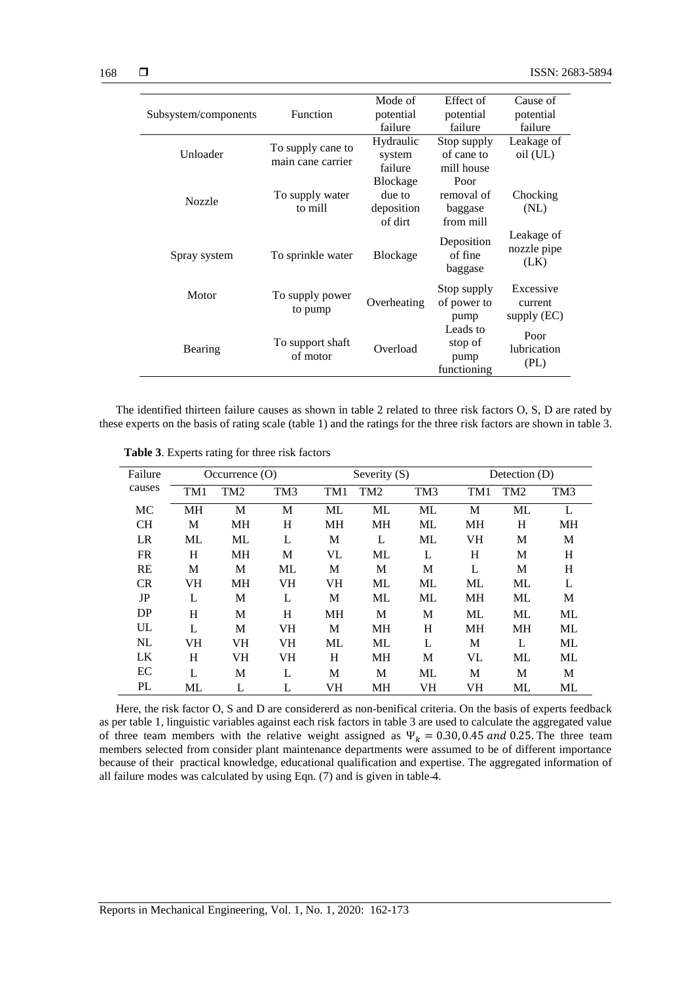|                      |                   | Mode of         | Effect of             | Cause of                  |
|----------------------|-------------------|-----------------|-----------------------|---------------------------|
| Subsystem/components | Function          | potential       | potential             | potential                 |
|                      |                   | failure         | failure               | failure                   |
|                      | To supply cane to | Hydraulic       | Stop supply           | Leakage of                |
| Unloader             | main cane carrier | system          | of cane to            | oil (UL)                  |
|                      |                   | failure         | mill house            |                           |
|                      |                   | Blockage        | Poor                  |                           |
| <b>Nozzle</b>        | To supply water   | due to          | removal of            | Chocking                  |
|                      | to mill           | deposition      | baggase               | (NL)                      |
|                      |                   | of dirt         | from mill             |                           |
| Spray system         | To sprinkle water | <b>Blockage</b> | Deposition<br>of fine | Leakage of<br>nozzle pipe |
|                      |                   |                 | baggase               | (LK)                      |
|                      |                   |                 | Stop supply           | Excessive                 |
| Motor                | To supply power   | Overheating     | of power to           | current                   |
|                      | to pump           |                 | pump                  | supply $(EC)$             |
|                      |                   |                 | Leads to              | Poor                      |
| Bearing              | To support shaft  | Overload        | stop of               | lubrication               |
|                      | of motor          |                 | pump                  | (PL)                      |
|                      |                   |                 | functioning           |                           |

The identified thirteen failure causes as shown in table 2 related to three risk factors O, S, D are rated by these experts on the basis of rating scale (table 1) and the ratings for the three risk factors are shown in table 3.

| Failure   | Occurrence $(0)$ |                 |                 |           | Severity $(S)$  |                 |     | Detection (D)   |                 |  |
|-----------|------------------|-----------------|-----------------|-----------|-----------------|-----------------|-----|-----------------|-----------------|--|
| causes    | TM1              | TM <sub>2</sub> | TM <sub>3</sub> | TM1       | TM <sub>2</sub> | TM <sub>3</sub> | TM1 | TM <sub>2</sub> | TM <sub>3</sub> |  |
| MC        | MH               | М               | М               | ML        | ML              | ML              | M   | ML              | L               |  |
| <b>CH</b> | M                | MH              | H               | <b>MH</b> | MH              | ML              | МH  | H               | MH              |  |
| LR        | ML               | ML              | L               | M         | L               | ML              | VH  | M               | M               |  |
| <b>FR</b> | Н                | MH              | М               | VL        | ML              | L               | H   | М               | H               |  |
| RE        | M                | M               | ML              | M         | M               | M               | L   | М               | H               |  |
| <b>CR</b> | VH               | <b>MH</b>       | VH              | VH        | ML              | ML              | ML  | ML              | L               |  |
| JP        | L                | M               | L               | M         | ML              | ML              | MH  | ML              | M               |  |
| DP        | H                | M               | H               | <b>MH</b> | M               | M               | ML  | ML              | ML              |  |
| UL        | L                | M               | VH              | M         | <b>MH</b>       | H               | MH  | <b>MH</b>       | ML              |  |
| NL        | VH               | <b>VH</b>       | <b>VH</b>       | ML        | ML              | L               | M   | L               | ML              |  |
| LK        | H                | VH              | VH              | H         | MН              | M               | VL  | ML              | ML              |  |
| EC        | L                | M               | L               | M         | M               | ML              | M   | M               | M               |  |
| PL        | ML               | L               | L               | VH        | MН              | VH              | VH  | ML              | ML              |  |

**Table 3**. Experts rating for three risk factors

Here, the risk factor O, S and D are considererd as non-benifical criteria. On the basis of experts feedback as per table 1, linguistic variables against each risk factors in table 3 are used to calculate the aggregated value of three team members with the relative weight assigned as  $\Psi_k = 0.30, 0.45$  and 0.25. The three team members selected from consider plant maintenance departments were assumed to be of different importance because of their practical knowledge, educational qualification and expertise. The aggregated information of all failure modes was calculated by using Eqn. (7) and is given in table 4.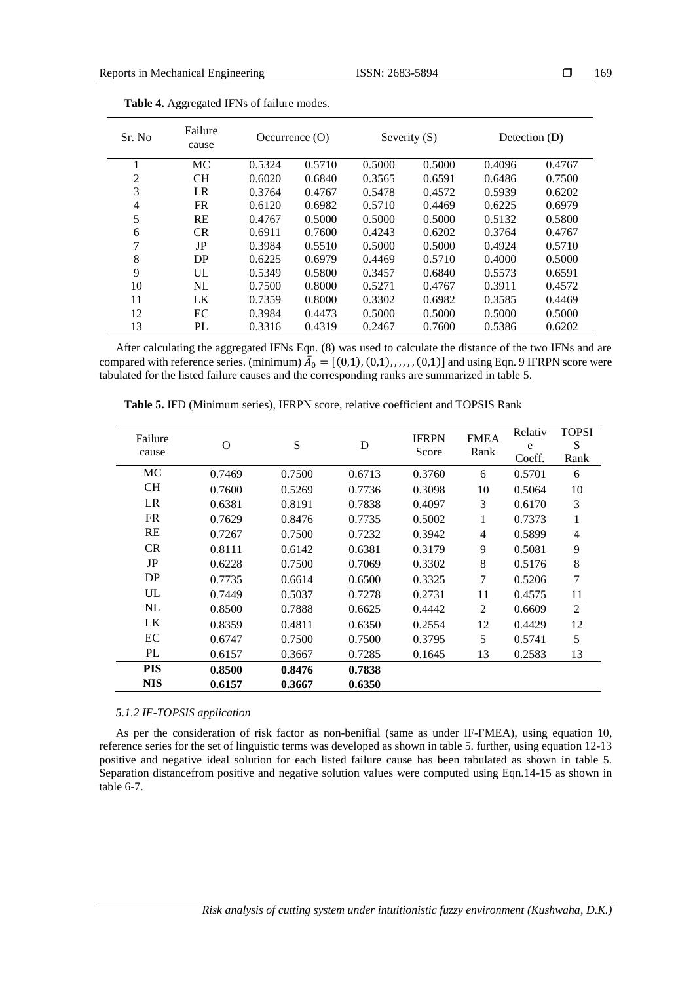| Sr. No         | Failure<br>cause |        | Severity $(S)$ |        | Detection (D)<br>Occurrence $(O)$ |        |        |
|----------------|------------------|--------|----------------|--------|-----------------------------------|--------|--------|
| 1              | MC               | 0.5324 | 0.5710         | 0.5000 | 0.5000                            | 0.4096 | 0.4767 |
| $\overline{2}$ | <b>CH</b>        | 0.6020 | 0.6840         | 0.3565 | 0.6591                            | 0.6486 | 0.7500 |
| 3              | LR               | 0.3764 | 0.4767         | 0.5478 | 0.4572                            | 0.5939 | 0.6202 |
| 4              | <b>FR</b>        | 0.6120 | 0.6982         | 0.5710 | 0.4469                            | 0.6225 | 0.6979 |
| 5              | RE               | 0.4767 | 0.5000         | 0.5000 | 0.5000                            | 0.5132 | 0.5800 |
| 6              | <b>CR</b>        | 0.6911 | 0.7600         | 0.4243 | 0.6202                            | 0.3764 | 0.4767 |
| 7              | JP               | 0.3984 | 0.5510         | 0.5000 | 0.5000                            | 0.4924 | 0.5710 |
| 8              | DP               | 0.6225 | 0.6979         | 0.4469 | 0.5710                            | 0.4000 | 0.5000 |
| 9              | UL               | 0.5349 | 0.5800         | 0.3457 | 0.6840                            | 0.5573 | 0.6591 |
| 10             | NL               | 0.7500 | 0.8000         | 0.5271 | 0.4767                            | 0.3911 | 0.4572 |
| 11             | LK               | 0.7359 | 0.8000         | 0.3302 | 0.6982                            | 0.3585 | 0.4469 |
| 12             | EC               | 0.3984 | 0.4473         | 0.5000 | 0.5000                            | 0.5000 | 0.5000 |
| 13             | PL               | 0.3316 | 0.4319         | 0.2467 | 0.7600                            | 0.5386 | 0.6202 |

After calculating the aggregated IFNs Eqn. (8) was used to calculate the distance of the two IFNs and are compared with reference series. (minimum)  $\bar{A}_0 = [(0,1), (0,1), \ldots, (0,1)]$  and using Eqn. 9 IFRPN score were tabulated for the listed failure causes and the corresponding ranks are summarized in table 5.

| Failure<br>cause | $\Omega$ | S      | D      | <b>IFRPN</b><br>Score | <b>FMEA</b><br>Rank | Relativ<br>e<br>Coeff. | <b>TOPSI</b><br>S<br>Rank |
|------------------|----------|--------|--------|-----------------------|---------------------|------------------------|---------------------------|
| МC               | 0.7469   | 0.7500 | 0.6713 | 0.3760                | 6                   | 0.5701                 | 6                         |
| <b>CH</b>        | 0.7600   | 0.5269 | 0.7736 | 0.3098                | 10                  | 0.5064                 | 10                        |
| LR               | 0.6381   | 0.8191 | 0.7838 | 0.4097                | 3                   | 0.6170                 | 3                         |
| <b>FR</b>        | 0.7629   | 0.8476 | 0.7735 | 0.5002                | 1                   | 0.7373                 | 1                         |
| RE               | 0.7267   | 0.7500 | 0.7232 | 0.3942                | $\overline{4}$      | 0.5899                 | $\overline{4}$            |
| <b>CR</b>        | 0.8111   | 0.6142 | 0.6381 | 0.3179                | 9                   | 0.5081                 | 9                         |
| JP               | 0.6228   | 0.7500 | 0.7069 | 0.3302                | 8                   | 0.5176                 | 8                         |
| DP               | 0.7735   | 0.6614 | 0.6500 | 0.3325                | 7                   | 0.5206                 | $\tau$                    |
| UL               | 0.7449   | 0.5037 | 0.7278 | 0.2731                | 11                  | 0.4575                 | 11                        |
| NL               | 0.8500   | 0.7888 | 0.6625 | 0.4442                | 2                   | 0.6609                 | 2                         |
| LK               | 0.8359   | 0.4811 | 0.6350 | 0.2554                | 12                  | 0.4429                 | 12                        |
| EC               | 0.6747   | 0.7500 | 0.7500 | 0.3795                | 5                   | 0.5741                 | 5                         |
| PL               | 0.6157   | 0.3667 | 0.7285 | 0.1645                | 13                  | 0.2583                 | 13                        |
| <b>PIS</b>       | 0.8500   | 0.8476 | 0.7838 |                       |                     |                        |                           |
| <b>NIS</b>       | 0.6157   | 0.3667 | 0.6350 |                       |                     |                        |                           |

**Table 5.** IFD (Minimum series), IFRPN score, relative coefficient and TOPSIS Rank

# *5.1.2 IF-TOPSIS application*

As per the consideration of risk factor as non-benifial (same as under IF-FMEA), using equation 10, reference series for the set of linguistic terms was developed as shown in table 5. further, using equation 12-13 positive and negative ideal solution for each listed failure cause has been tabulated as shown in table 5. Separation distancefrom positive and negative solution values were computed using Eqn.14-15 as shown in table 6-7.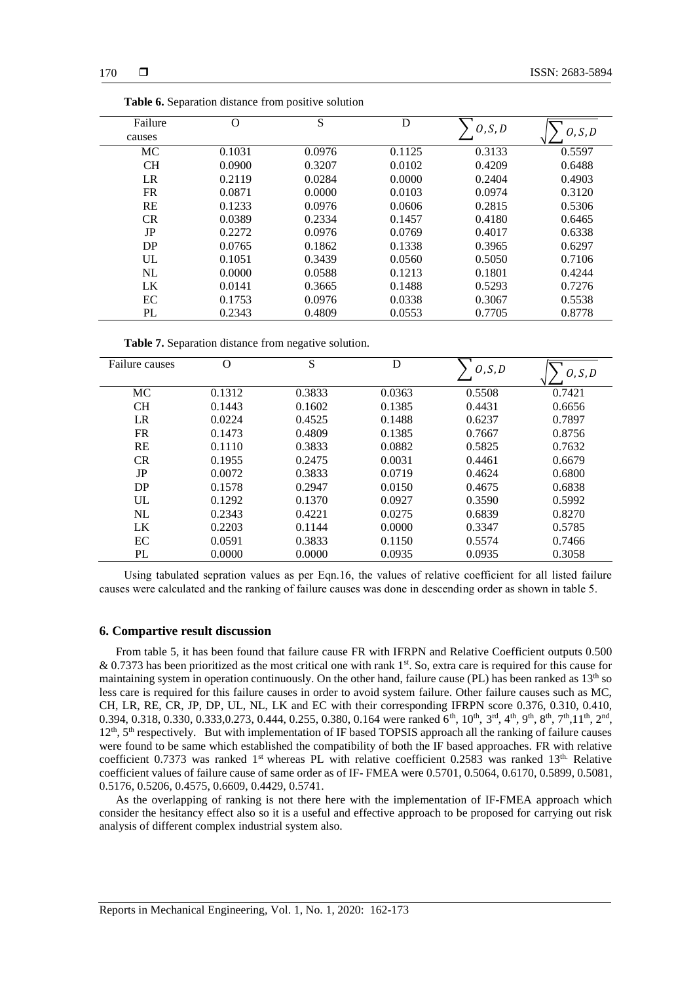| Failure   | O      | S      | D      | O, S, D |         |
|-----------|--------|--------|--------|---------|---------|
| causes    |        |        |        |         | O, S, D |
| MC        | 0.1031 | 0.0976 | 0.1125 | 0.3133  | 0.5597  |
| CH        | 0.0900 | 0.3207 | 0.0102 | 0.4209  | 0.6488  |
| LR        | 0.2119 | 0.0284 | 0.0000 | 0.2404  | 0.4903  |
| <b>FR</b> | 0.0871 | 0.0000 | 0.0103 | 0.0974  | 0.3120  |
| <b>RE</b> | 0.1233 | 0.0976 | 0.0606 | 0.2815  | 0.5306  |
| CR        | 0.0389 | 0.2334 | 0.1457 | 0.4180  | 0.6465  |
| JP        | 0.2272 | 0.0976 | 0.0769 | 0.4017  | 0.6338  |
| DP        | 0.0765 | 0.1862 | 0.1338 | 0.3965  | 0.6297  |
| UL        | 0.1051 | 0.3439 | 0.0560 | 0.5050  | 0.7106  |
| NL        | 0.0000 | 0.0588 | 0.1213 | 0.1801  | 0.4244  |
| LK        | 0.0141 | 0.3665 | 0.1488 | 0.5293  | 0.7276  |
| EC        | 0.1753 | 0.0976 | 0.0338 | 0.3067  | 0.5538  |
| PL        | 0.2343 | 0.4809 | 0.0553 | 0.7705  | 0.8778  |

| <b>Table 6.</b> Separation distance from positive solution |  |  |  |  |
|------------------------------------------------------------|--|--|--|--|
|------------------------------------------------------------|--|--|--|--|

Table 7. Separation distance from negative solution.

| Failure causes | O      | S      | D      | O, S, D | O, S, D |
|----------------|--------|--------|--------|---------|---------|
| MC             | 0.1312 | 0.3833 | 0.0363 | 0.5508  | 0.7421  |
| <b>CH</b>      | 0.1443 | 0.1602 | 0.1385 | 0.4431  | 0.6656  |
| LR             | 0.0224 | 0.4525 | 0.1488 | 0.6237  | 0.7897  |
| <b>FR</b>      | 0.1473 | 0.4809 | 0.1385 | 0.7667  | 0.8756  |
| <b>RE</b>      | 0.1110 | 0.3833 | 0.0882 | 0.5825  | 0.7632  |
| CR             | 0.1955 | 0.2475 | 0.0031 | 0.4461  | 0.6679  |
| JP             | 0.0072 | 0.3833 | 0.0719 | 0.4624  | 0.6800  |
| DP             | 0.1578 | 0.2947 | 0.0150 | 0.4675  | 0.6838  |
| UL             | 0.1292 | 0.1370 | 0.0927 | 0.3590  | 0.5992  |
| NL             | 0.2343 | 0.4221 | 0.0275 | 0.6839  | 0.8270  |
| LK             | 0.2203 | 0.1144 | 0.0000 | 0.3347  | 0.5785  |
| EC             | 0.0591 | 0.3833 | 0.1150 | 0.5574  | 0.7466  |
| PL             | 0.0000 | 0.0000 | 0.0935 | 0.0935  | 0.3058  |

Using tabulated sepration values as per Eqn.16, the values of relative coefficient for all listed failure causes were calculated and the ranking of failure causes was done in descending order as shown in table 5.

# **6. Compartive result discussion**

From table 5, it has been found that failure cause FR with IFRPN and Relative Coefficient outputs 0.500  $& 0.7373$  has been prioritized as the most critical one with rank  $1<sup>st</sup>$ . So, extra care is required for this cause for maintaining system in operation continuously. On the other hand, failure cause (PL) has been ranked as  $13<sup>th</sup>$  so less care is required for this failure causes in order to avoid system failure. Other failure causes such as MC, CH, LR, RE, CR, JP, DP, UL, NL, LK and EC with their corresponding IFRPN score 0.376, 0.310, 0.410, 0.394, 0.318, 0.330, 0.333, 0.273, 0.444, 0.255, 0.380, 0.164 were ranked  $6<sup>th</sup>$ , 10<sup>th</sup>, 3<sup>rd</sup>, 4<sup>th</sup>, 9<sup>th</sup>, 8<sup>th</sup>, 7<sup>th</sup>, 11<sup>th</sup>, 2<sup>nd</sup>, 12<sup>th</sup>, 5<sup>th</sup> respectively. But with implementation of IF based TOPSIS approach all the ranking of failure causes were found to be same which established the compatibility of both the IF based approaches. FR with relative coefficient 0.7373 was ranked 1<sup>st</sup> whereas PL with relative coefficient 0.2583 was ranked 13<sup>th.</sup> Relative coefficient values of failure cause of same order as of IF- FMEA were 0.5701, 0.5064, 0.6170, 0.5899, 0.5081, 0.5176, 0.5206, 0.4575, 0.6609, 0.4429, 0.5741.

As the overlapping of ranking is not there here with the implementation of IF-FMEA approach which consider the hesitancy effect also so it is a useful and effective approach to be proposed for carrying out risk analysis of different complex industrial system also.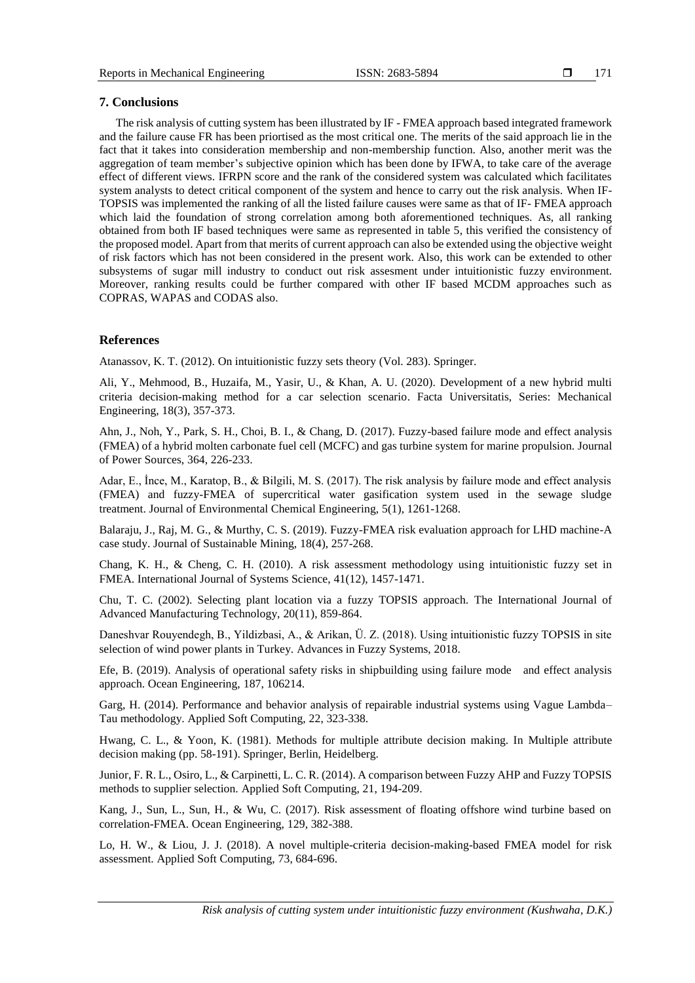171

# **7. Conclusions**

The risk analysis of cutting system has been illustrated by IF - FMEA approach based integrated framework and the failure cause FR has been priortised as the most critical one. The merits of the said approach lie in the fact that it takes into consideration membership and non-membership function. Also, another merit was the aggregation of team member's subjective opinion which has been done by IFWA, to take care of the average effect of different views. IFRPN score and the rank of the considered system was calculated which facilitates system analysts to detect critical component of the system and hence to carry out the risk analysis. When IF-TOPSIS was implemented the ranking of all the listed failure causes were same as that of IF- FMEA approach which laid the foundation of strong correlation among both aforementioned techniques. As, all ranking obtained from both IF based techniques were same as represented in table 5, this verified the consistency of the proposed model. Apart from that merits of current approach can also be extended using the objective weight of risk factors which has not been considered in the present work. Also, this work can be extended to other subsystems of sugar mill industry to conduct out risk assesment under intuitionistic fuzzy environment. Moreover, ranking results could be further compared with other IF based MCDM approaches such as COPRAS, WAPAS and CODAS also.

# **References**

Atanassov, K. T. (2012). On intuitionistic fuzzy sets theory (Vol. 283). Springer.

Ali, Y., Mehmood, B., Huzaifa, M., Yasir, U., & Khan, A. U. (2020). Development of a new hybrid multi criteria decision-making method for a car selection scenario. Facta Universitatis, Series: Mechanical Engineering, 18(3), 357-373.

Ahn, J., Noh, Y., Park, S. H., Choi, B. I., & Chang, D. (2017). Fuzzy-based failure mode and effect analysis (FMEA) of a hybrid molten carbonate fuel cell (MCFC) and gas turbine system for marine propulsion. Journal of Power Sources, 364, 226-233.

Adar, E., İnce, M., Karatop, B., & Bilgili, M. S. (2017). The risk analysis by failure mode and effect analysis (FMEA) and fuzzy-FMEA of supercritical water gasification system used in the sewage sludge treatment. Journal of Environmental Chemical Engineering, 5(1), 1261-1268.

Balaraju, J., Raj, M. G., & Murthy, C. S. (2019). Fuzzy-FMEA risk evaluation approach for LHD machine-A case study. Journal of Sustainable Mining, 18(4), 257-268.

Chang, K. H., & Cheng, C. H. (2010). A risk assessment methodology using intuitionistic fuzzy set in FMEA. International Journal of Systems Science, 41(12), 1457-1471.

Chu, T. C. (2002). Selecting plant location via a fuzzy TOPSIS approach. The International Journal of Advanced Manufacturing Technology, 20(11), 859-864.

Daneshvar Rouyendegh, B., Yildizbasi, A., & Arikan, Ü. Z. (2018). Using intuitionistic fuzzy TOPSIS in site selection of wind power plants in Turkey. Advances in Fuzzy Systems, 2018.

Efe, B. (2019). Analysis of operational safety risks in shipbuilding using failure mode and effect analysis approach. Ocean Engineering, 187, 106214.

Garg, H. (2014). Performance and behavior analysis of repairable industrial systems using Vague Lambda– Tau methodology. Applied Soft Computing, 22, 323-338.

Hwang, C. L., & Yoon, K. (1981). Methods for multiple attribute decision making. In Multiple attribute decision making (pp. 58-191). Springer, Berlin, Heidelberg.

Junior, F. R. L., Osiro, L., & Carpinetti, L. C. R. (2014). A comparison between Fuzzy AHP and Fuzzy TOPSIS methods to supplier selection. Applied Soft Computing, 21, 194-209.

Kang, J., Sun, L., Sun, H., & Wu, C. (2017). Risk assessment of floating offshore wind turbine based on correlation-FMEA. Ocean Engineering, 129, 382-388.

Lo, H. W., & Liou, J. J. (2018). A novel multiple-criteria decision-making-based FMEA model for risk assessment. Applied Soft Computing, 73, 684-696.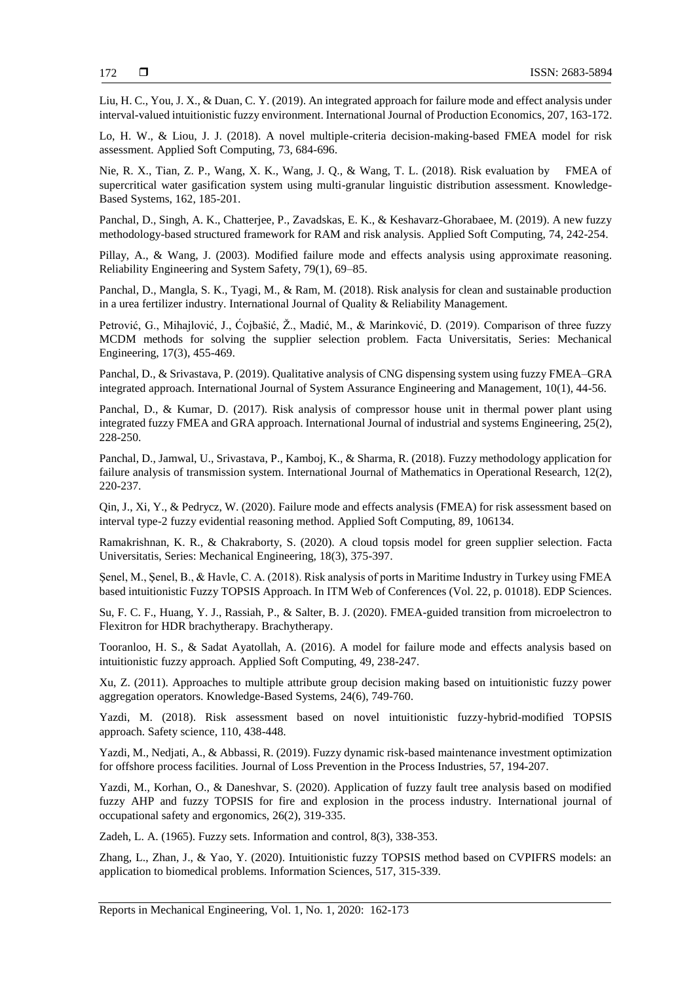Liu, H. C., You, J. X., & Duan, C. Y. (2019). An integrated approach for failure mode and effect analysis under interval-valued intuitionistic fuzzy environment. International Journal of Production Economics, 207, 163-172.

Lo, H. W., & Liou, J. J. (2018). A novel multiple-criteria decision-making-based FMEA model for risk assessment. Applied Soft Computing, 73, 684-696.

Nie, R. X., Tian, Z. P., Wang, X. K., Wang, J. Q., & Wang, T. L. (2018). Risk evaluation by FMEA of supercritical water gasification system using multi-granular linguistic distribution assessment. Knowledge-Based Systems, 162, 185-201.

Panchal, D., Singh, A. K., Chatterjee, P., Zavadskas, E. K., & Keshavarz-Ghorabaee, M. (2019). A new fuzzy methodology-based structured framework for RAM and risk analysis. Applied Soft Computing, 74, 242-254.

Pillay, A., & Wang, J. (2003). Modified failure mode and effects analysis using approximate reasoning. Reliability Engineering and System Safety, 79(1), 69–85.

Panchal, D., Mangla, S. K., Tyagi, M., & Ram, M. (2018). Risk analysis for clean and sustainable production in a urea fertilizer industry. International Journal of Quality & Reliability Management.

Petrović, G., Mihajlović, J., Ćojbašić, Ž., Madić, M., & Marinković, D. (2019). Comparison of three fuzzy MCDM methods for solving the supplier selection problem. Facta Universitatis, Series: Mechanical Engineering, 17(3), 455-469.

Panchal, D., & Srivastava, P. (2019). Qualitative analysis of CNG dispensing system using fuzzy FMEA–GRA integrated approach. International Journal of System Assurance Engineering and Management, 10(1), 44-56.

Panchal, D., & Kumar, D. (2017). Risk analysis of compressor house unit in thermal power plant using integrated fuzzy FMEA and GRA approach. International Journal of industrial and systems Engineering, 25(2), 228-250.

Panchal, D., Jamwal, U., Srivastava, P., Kamboj, K., & Sharma, R. (2018). Fuzzy methodology application for failure analysis of transmission system. International Journal of Mathematics in Operational Research, 12(2), 220-237.

Qin, J., Xi, Y., & Pedrycz, W. (2020). Failure mode and effects analysis (FMEA) for risk assessment based on interval type-2 fuzzy evidential reasoning method. Applied Soft Computing, 89, 106134.

Ramakrishnan, K. R., & Chakraborty, S. (2020). A cloud topsis model for green supplier selection. Facta Universitatis, Series: Mechanical Engineering, 18(3), 375-397.

Şenel, M., Şenel, B., & Havle, C. A. (2018). Risk analysis of ports in Maritime Industry in Turkey using FMEA based intuitionistic Fuzzy TOPSIS Approach. In ITM Web of Conferences (Vol. 22, p. 01018). EDP Sciences.

Su, F. C. F., Huang, Y. J., Rassiah, P., & Salter, B. J. (2020). FMEA-guided transition from microelectron to Flexitron for HDR brachytherapy. Brachytherapy.

Tooranloo, H. S., & Sadat Ayatollah, A. (2016). A model for failure mode and effects analysis based on intuitionistic fuzzy approach. Applied Soft Computing, 49, 238-247.

Xu, Z. (2011). Approaches to multiple attribute group decision making based on intuitionistic fuzzy power aggregation operators. Knowledge-Based Systems, 24(6), 749-760.

Yazdi, M. (2018). Risk assessment based on novel intuitionistic fuzzy-hybrid-modified TOPSIS approach. Safety science, 110, 438-448.

Yazdi, M., Nedjati, A., & Abbassi, R. (2019). Fuzzy dynamic risk-based maintenance investment optimization for offshore process facilities. Journal of Loss Prevention in the Process Industries, 57, 194-207.

Yazdi, M., Korhan, O., & Daneshvar, S. (2020). Application of fuzzy fault tree analysis based on modified fuzzy AHP and fuzzy TOPSIS for fire and explosion in the process industry. International journal of occupational safety and ergonomics, 26(2), 319-335.

Zadeh, L. A. (1965). Fuzzy sets. Information and control, 8(3), 338-353.

Zhang, L., Zhan, J., & Yao, Y. (2020). Intuitionistic fuzzy TOPSIS method based on CVPIFRS models: an application to biomedical problems. Information Sciences, 517, 315-339.